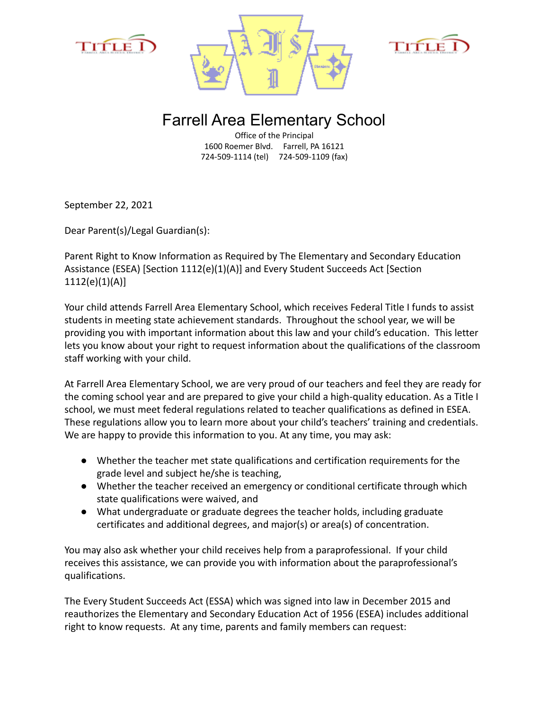





## Farrell Area Elementary School

Office of the Principal 1600 Roemer Blvd. Farrell, PA 16121 724-509-1114 (tel) 724-509-1109 (fax)

September 22, 2021

Dear Parent(s)/Legal Guardian(s):

Parent Right to Know Information as Required by The Elementary and Secondary Education Assistance (ESEA) [Section 1112(e)(1)(A)] and Every Student Succeeds Act [Section 1112(e)(1)(A)]

Your child attends Farrell Area Elementary School, which receives Federal Title I funds to assist students in meeting state achievement standards. Throughout the school year, we will be providing you with important information about this law and your child's education. This letter lets you know about your right to request information about the qualifications of the classroom staff working with your child.

At Farrell Area Elementary School, we are very proud of our teachers and feel they are ready for the coming school year and are prepared to give your child a high-quality education. As a Title I school, we must meet federal regulations related to teacher qualifications as defined in ESEA. These regulations allow you to learn more about your child's teachers' training and credentials. We are happy to provide this information to you. At any time, you may ask:

- Whether the teacher met state qualifications and certification requirements for the grade level and subject he/she is teaching,
- Whether the teacher received an emergency or conditional certificate through which state qualifications were waived, and
- What undergraduate or graduate degrees the teacher holds, including graduate certificates and additional degrees, and major(s) or area(s) of concentration.

You may also ask whether your child receives help from a paraprofessional. If your child receives this assistance, we can provide you with information about the paraprofessional's qualifications.

The Every Student Succeeds Act (ESSA) which was signed into law in December 2015 and reauthorizes the Elementary and Secondary Education Act of 1956 (ESEA) includes additional right to know requests. At any time, parents and family members can request: